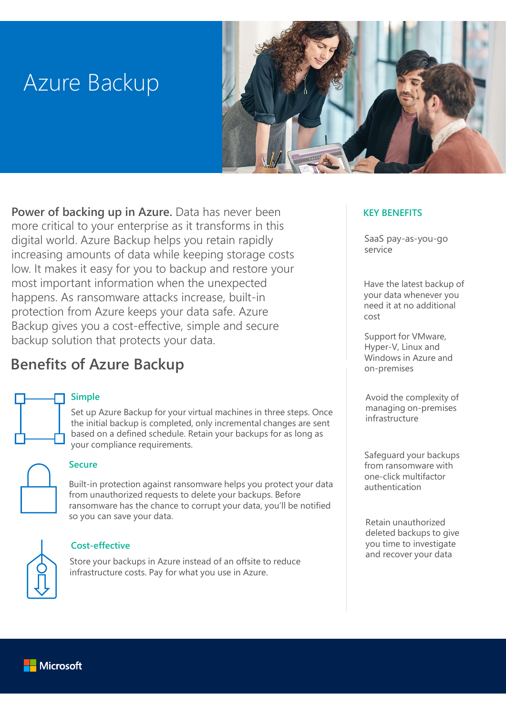# Azure Backup



Power of backing up in Azure. Data has never been more critical to your enterprise as it transforms in this digital world. Azure Backup helps you retain rapidly increasing amounts of data while keeping storage costs low. It makes it easy for you to backup and restore your most important information when the unexpected happens. As ransomware attacks increase, built-in protection from Azure keeps your data safe. Azure Backup gives you a cost-effective, simple and secure backup solution that protects your data.

# Benefits of Azure Backup

#### Simple

Set up Azure Backup for your virtual machines in three steps. Once the initial backup is completed, only incremental changes are sent based on a defined schedule. Retain your backups for as long as your compliance requirements.



#### **Secure**

Built-in protection against ransomware helps you protect your data from unauthorized requests to delete your backups. Before ransomware has the chance to corrupt your data, you'll be notified so you can save your data.



#### Cost-effective

and recover your data Store your backups in Azure instead of an offsite to reduce infrastructure costs. Pay for what you use in Azure.

#### KEY BENEFITS

SaaS pay-as-you-go service

Have the latest backup of your data whenever you need it at no additional cost

Support for VMware, Hyper-V, Linux and Windows in Azure and on-premises

Avoid the complexity of managing on-premises infrastructure

Safeguard your backups from ransomware with one-click multifactor authentication

Retain unauthorized deleted backups to give you time to investigate